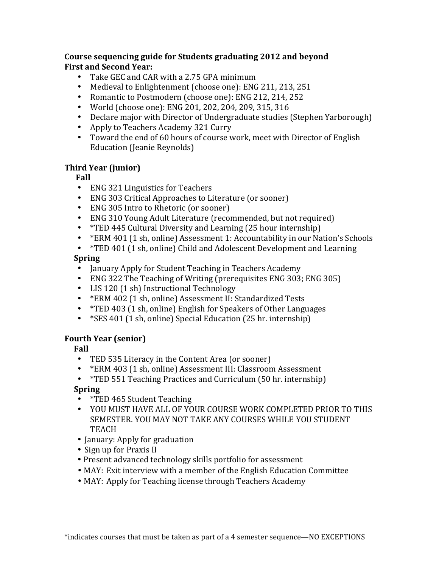#### **Course'sequencing'guide'for'Students'graduating'2012'and'beyond First'and'Second'Year:**

- Take GEC and CAR with a 2.75 GPA minimum
- Medieval to Enlightenment (choose one): ENG 211, 213, 251
- Romantic to Postmodern (choose one): ENG 212, 214, 252
- World (choose one): ENG 201, 202, 204, 209, 315, 316
- Declare major with Director of Undergraduate studies (Stephen Yarborough)
- Apply to Teachers Academy 321 Curry
- Toward the end of 60 hours of course work, meet with Director of English Education (Jeanie Reynolds)

## **Third'Year'(junior)**

**Fall** 

- ENG 321 Linguistics for Teachers
- ENG 303 Critical Approaches to Literature (or sooner)
- ENG 305 Intro to Rhetoric (or sooner)
- ENG 310 Young Adult Literature (recommended, but not required)
- \*TED 445 Cultural Diversity and Learning (25 hour internship)
- \* ERM 401 (1 sh, online) Assessment 1: Accountability in our Nation's Schools
- \*TED 401 (1 sh, online) Child and Adolescent Development and Learning

## **Spring**

- January Apply for Student Teaching in Teachers Academy
- ENG 322 The Teaching of Writing (prerequisites ENG 303; ENG 305)
- LIS 120  $(1 *h)$  Instructional Technology
- \* ERM 402 (1 sh, online) Assessment II: Standardized Tests
- $*TED 403$  (1 sh, online) English for Speakers of Other Languages
- $*$ SES 401 (1 sh, online) Special Education (25 hr. internship)

# **Fourth'Year'(senior)**

**Fall** 

- TED 535 Literacy in the Content Area (or sooner)
- \* ERM 403 (1 sh, online) Assessment III: Classroom Assessment
- $*TED 551$  Teaching Practices and Curriculum (50 hr. internship)

## **Spring**

- \*TED 465 Student Teaching
- YOU MUST HAVE ALL OF YOUR COURSE WORK COMPLETED PRIOR TO THIS SEMESTER. YOU MAY NOT TAKE ANY COURSES WHILE YOU STUDENT TEACH
- January: Apply for graduation
- Sign up for Praxis II
- Present advanced technology skills portfolio for assessment
- MAY: Exit interview with a member of the English Education Committee
- MAY: Apply for Teaching license through Teachers Academy